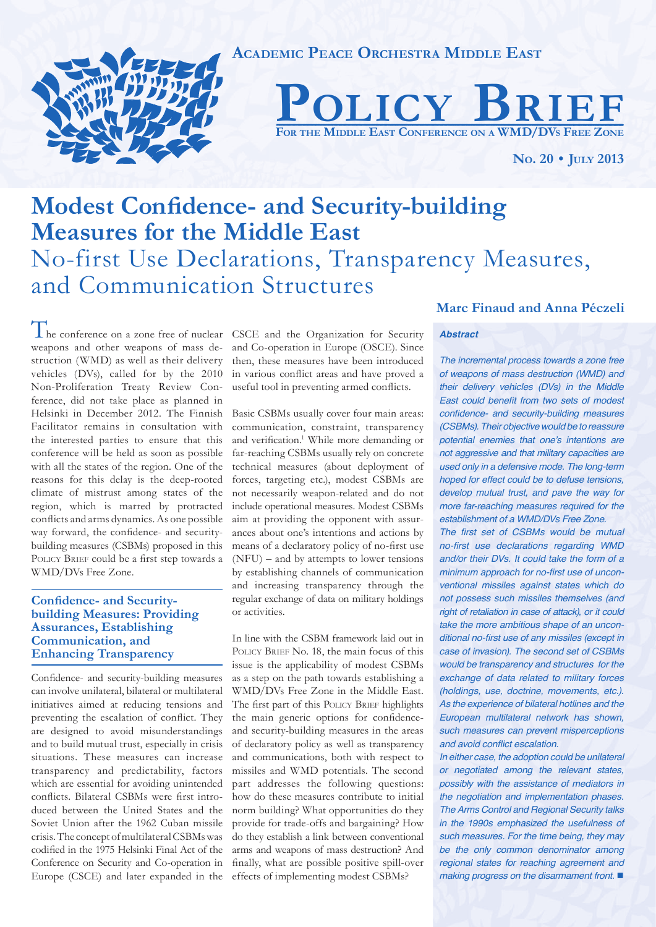

**ACADEMIC PEACE ORCHESTRA MIDDLE EAST**



**NO. 20 • JULY 2013**

# **Modest Confidence- and Security-building Measures for the Middle East** No-first Use Declarations, Transparency Measures, and Communication Structures

The conference on a zone free of nuclear CSCE and the Organization for Security weapons and other weapons of mass destruction (WMD) as well as their delivery vehicles (DVs), called for by the 2010 Non-Proliferation Treaty Review Conference, did not take place as planned in Helsinki in December 2012. The Finnish Facilitator remains in consultation with the interested parties to ensure that this conference will be held as soon as possible with all the states of the region. One of the reasons for this delay is the deep-rooted climate of mistrust among states of the region, which is marred by protracted conflicts and arms dynamics. As one possible way forward, the confidence- and securitybuilding measures (CSBMs) proposed in this POLICY BRIEF could be a first step towards a WMD/DVs Free Zone.

# **Confidence- and Securitybuilding Measures: Providing Assurances, Establishing Communication, and Enhancing Transparency**

Confidence- and security-building measures can involve unilateral, bilateral or multilateral initiatives aimed at reducing tensions and preventing the escalation of conflict. They are designed to avoid misunderstandings and to build mutual trust, especially in crisis situations. These measures can increase transparency and predictability, factors which are essential for avoiding unintended conflicts. Bilateral CSBMs were first introduced between the United States and the Soviet Union after the 1962 Cuban missile crisis. The concept of multilateral CSBMs was codified in the 1975 Helsinki Final Act of the Conference on Security and Co-operation in Europe (CSCE) and later expanded in the

and Co-operation in Europe (OSCE). Since then, these measures have been introduced in various conflict areas and have proved a useful tool in preventing armed conflicts.

Basic CSBMs usually cover four main areas: communication, constraint, transparency and verification.<sup>1</sup> While more demanding or far-reaching CSBMs usually rely on concrete technical measures (about deployment of forces, targeting etc.), modest CSBMs are not necessarily weapon-related and do not include operational measures. Modest CSBMs aim at providing the opponent with assurances about one's intentions and actions by means of a declaratory policy of no-first use (NFU) – and by attempts to lower tensions by establishing channels of communication and increasing transparency through the regular exchange of data on military holdings or activities.

In line with the CSBM framework laid out in POLICY BRIEF No. 18, the main focus of this issue is the applicability of modest CSBMs as a step on the path towards establishing a WMD/DVs Free Zone in the Middle East. The first part of this POLICY BRIEF highlights the main generic options for confidenceand security-building measures in the areas of declaratory policy as well as transparency and communications, both with respect to missiles and WMD potentials. The second part addresses the following questions: how do these measures contribute to initial norm building? What opportunities do they provide for trade-offs and bargaining? How do they establish a link between conventional arms and weapons of mass destruction? And finally, what are possible positive spill-over effects of implementing modest CSBMs?

# **Marc Finaud and Anna Péczeli**

## *Abstract*

*The incremental process towards a zone free of weapons of mass destruction (WMD) and their delivery vehicles (DVs) in the Middle*  East could benefit from two sets of modest confidence- and security-building measures *(CSBMs). Their objective would be to reassure*  potential enemies that one's intentions are not aggressive and that military capacities are used only in a defensive mode. The long-term *hoped for effect could be to defuse tensions, develop mutual trust, and pave the way for*  more far-reaching measures required for the *establishment of a WMD/DVs Free Zone.*

The first set of CSBMs would be mutual no-first use declarations regarding WMD *and/or their DVs. It could take the form of a*  minimum approach for no-first use of unconventional missiles against states which do *not possess such missiles themselves (and*  right of retaliation in case of attack), or it could take the more ambitious shape of an unconditional no-first use of any missiles (except in *case of invasion). The second set of CSBMs would be transparency and structures for the*  exchange of data related to military forces (holdings, use, doctrine, movements, etc.). As the experience of bilateral hotlines and the *European multilateral network has shown, such measures can prevent misperceptions*  and avoid conflict escalation.

*In either case, the adoption could be unilateral*  or negotiated among the relevant states, *possibly with the assistance of mediators in*  the negotiation and implementation phases. The Arms Control and Regional Security talks *in the 1990s emphasized the usefulness of*  such measures. For the time being, they may be the only common denominator among regional states for reaching agreement and making progress on the disarmament front.  $\blacksquare$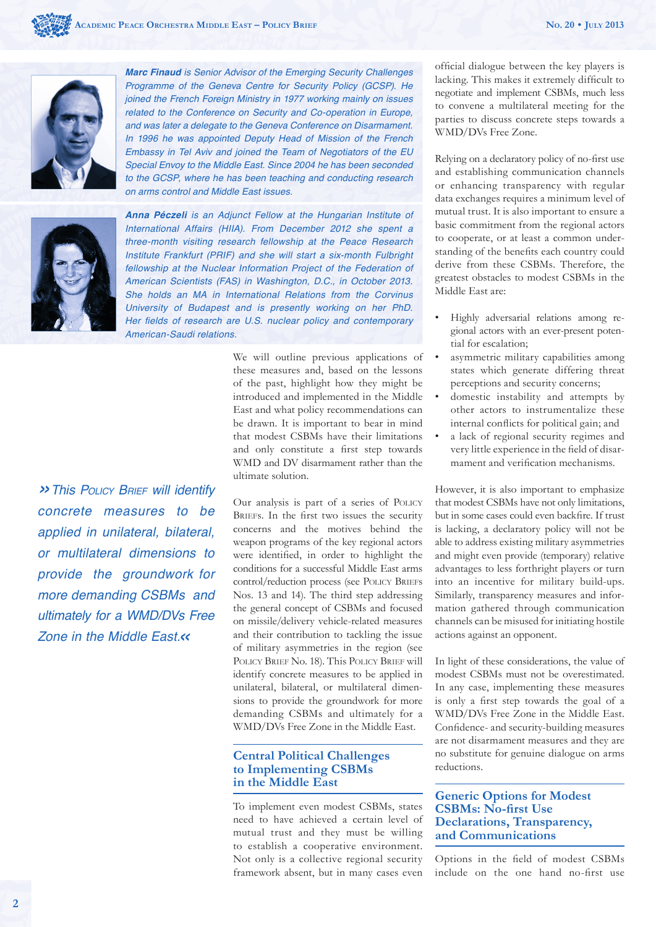

**Marc Finaud** is Senior Advisor of the Emerging Security Challenges Programme of the Geneva Centre for Security Policy (GCSP). He joined the French Foreign Ministry in 1977 working mainly on issues related to the Conference on Security and Co-operation in Europe, and was later a delegate to the Geneva Conference on Disarmament. In 1996 he was appointed Deputy Head of Mission of the French Embassy in Tel Aviv and joined the Team of Negotiators of the EU *Special Envoy to the Middle East. Since 2004 he has been seconded*  to the GCSP, where he has been teaching and conducting research *on arms control and Middle East issues.*



*Anna Péczeli* is an Adjunct Fellow at the Hungarian Institute of International Affairs (HIIA). From December 2012 she spent a three-month visiting research fellowship at the Peace Research Institute Frankfurt (PRIF) and she will start a six-month Fulbright *fellowship at the Nuclear Information Project of the Federation of*  American Scientists (FAS) in Washington, D.C., in October 2013. *She holds an MA in International Relations from the Corvinus*  University of Budapest and is presently working on her PhD. Her fields of research are U.S. nuclear policy and contemporary American-Saudi relations.

*»This POLICY BRIEF will identify concrete measures to be applied in unilateral, bilateral, or multilateral dimensions to*  provide the groundwork for more demanding CSBMs and *ultimately for a WMD/DVs Free Zone in the Middle East.«*

We will outline previous applications of these measures and, based on the lessons of the past, highlight how they might be introduced and implemented in the Middle East and what policy recommendations can be drawn. It is important to bear in mind that modest CSBMs have their limitations and only constitute a first step towards WMD and DV disarmament rather than the ultimate solution.

Our analysis is part of a series of POLICY BRIEFS. In the first two issues the security concerns and the motives behind the weapon programs of the key regional actors were identified, in order to highlight the conditions for a successful Middle East arms control/reduction process (see POLICY BRIEFs Nos. 13 and 14). The third step addressing the general concept of CSBMs and focused on missile/delivery vehicle-related measures and their contribution to tackling the issue of military asymmetries in the region (see POLICY BRIEF No. 18). This POLICY BRIEF will identify concrete measures to be applied in unilateral, bilateral, or multilateral dimensions to provide the groundwork for more demanding CSBMs and ultimately for a WMD/DVs Free Zone in the Middle East.

# **Central Political Challenges to Implementing CSBMs in the Middle East**

To implement even modest CSBMs, states need to have achieved a certain level of mutual trust and they must be willing to establish a cooperative environment. Not only is a collective regional security framework absent, but in many cases even

official dialogue between the key players is lacking. This makes it extremely difficult to negotiate and implement CSBMs, much less to convene a multilateral meeting for the parties to discuss concrete steps towards a WMD/DVs Free Zone.

Relying on a declaratory policy of no-first use and establishing communication channels or enhancing transparency with regular data exchanges requires a minimum level of mutual trust. It is also important to ensure a basic commitment from the regional actors to cooperate, or at least a common understanding of the benefits each country could derive from these CSBMs. Therefore, the greatest obstacles to modest CSBMs in the Middle East are:

- Highly adversarial relations among regional actors with an ever-present potential for escalation;
- asymmetric military capabilities among states which generate differing threat perceptions and security concerns;
- domestic instability and attempts by other actors to instrumentalize these internal conflicts for political gain; and
- a lack of regional security regimes and very little experience in the field of disarmament and verification mechanisms.

However, it is also important to emphasize that modest CSBMs have not only limitations, but in some cases could even backfire. If trust is lacking, a declaratory policy will not be able to address existing military asymmetries and might even provide (temporary) relative advantages to less forthright players or turn into an incentive for military build-ups. Similarly, transparency measures and information gathered through communication channels can be misused for initiating hostile actions against an opponent.

In light of these considerations, the value of modest CSBMs must not be overestimated. In any case, implementing these measures is only a first step towards the goal of a WMD/DVs Free Zone in the Middle East. Confidence- and security-building measures are not disarmament measures and they are no substitute for genuine dialogue on arms reductions.

# **Generic Options for Modest CSBMs: No-first Use Declarations, Transparency, and Communications**

Options in the field of modest CSBMs include on the one hand no-first use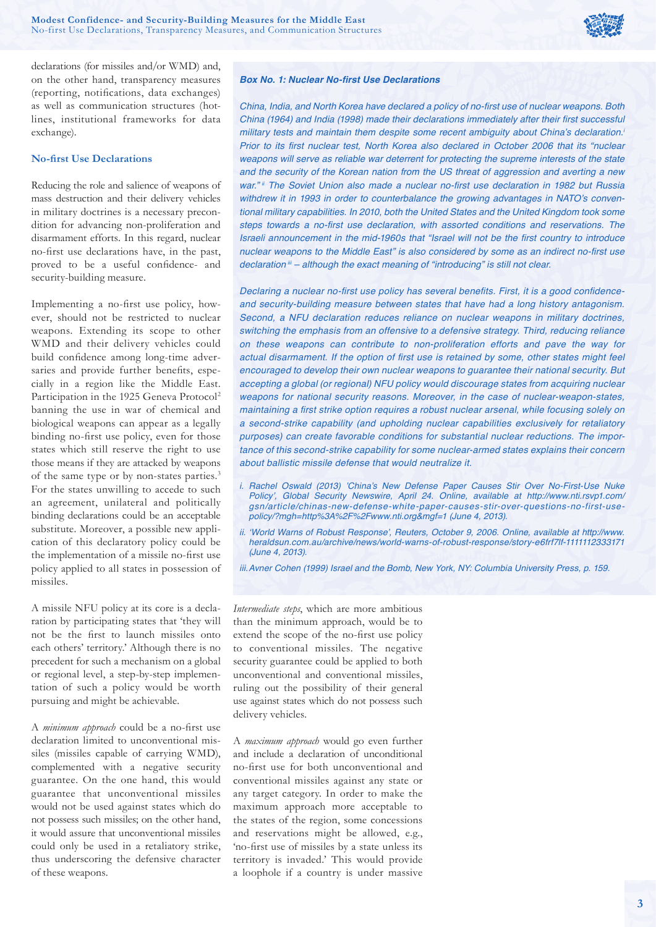

declarations (for missiles and/or WMD) and, on the other hand, transparency measures (reporting, notifications, data exchanges) as well as communication structures (hotlines, institutional frameworks for data exchange).

### **No-first Use Declarations**

Reducing the role and salience of weapons of mass destruction and their delivery vehicles in military doctrines is a necessary precondition for advancing non-proliferation and disarmament efforts. In this regard, nuclear no-first use declarations have, in the past, proved to be a useful confidence- and security-building measure.

Implementing a no-first use policy, however, should not be restricted to nuclear weapons. Extending its scope to other WMD and their delivery vehicles could build confidence among long-time adversaries and provide further benefits, especially in a region like the Middle East. Participation in the 1925 Geneva Protocol<sup>2</sup> banning the use in war of chemical and biological weapons can appear as a legally binding no-first use policy, even for those states which still reserve the right to use those means if they are attacked by weapons of the same type or by non-states parties.3 For the states unwilling to accede to such an agreement, unilateral and politically binding declarations could be an acceptable substitute. Moreover, a possible new application of this declaratory policy could be the implementation of a missile no-first use policy applied to all states in possession of missiles.

A missile NFU policy at its core is a declaration by participating states that 'they will not be the first to launch missiles onto each others' territory.' Although there is no precedent for such a mechanism on a global or regional level, a step-by-step implementation of such a policy would be worth pursuing and might be achievable.

A *minimum approach* could be a no-first use declaration limited to unconventional missiles (missiles capable of carrying WMD), complemented with a negative security guarantee. On the one hand, this would guarantee that unconventional missiles would not be used against states which do not possess such missiles; on the other hand, it would assure that unconventional missiles could only be used in a retaliatory strike, thus underscoring the defensive character of these weapons.

## **Box No. 1: Nuclear No-first Use Declarations**

China, India, and North Korea have declared a policy of no-first use of nuclear weapons. Both China (1964) and India (1998) made their declarations immediately after their first successful military tests and maintain them despite some recent ambiguity about China's declaration.*<sup>i</sup>* Prior to its first nuclear test, North Korea also declared in October 2006 that its "nuclear weapons will serve as reliable war deterrent for protecting the supreme interests of the state and the security of the Korean nation from the US threat of aggression and averting a new war." ii The Soviet Union also made a nuclear no-first use declaration in 1982 but Russia withdrew it in 1993 in order to counterbalance the growing advantages in NATO's conventional military capabilities. In 2010, both the United States and the United Kingdom took some steps towards a no-first use declaration, with assorted conditions and reservations. The Israeli announcement in the mid-1960s that "Israel will not be the first country to introduce nuclear weapons to the Middle East" is also considered by some as an indirect no-first use *declaration iii* – although the exact meaning of "introducing" is still not clear.

Declaring a nuclear no-first use policy has several benefits. First, it is a good confidenceand security-building measure between states that have had a long history antagonism. Second, a NFU declaration reduces reliance on nuclear weapons in military doctrines, switching the emphasis from an offensive to a defensive strategy. Third, reducing reliance on these weapons can contribute to non-proliferation efforts and pave the way for actual disarmament. If the option of first use is retained by some, other states might feel encouraged to develop their own nuclear weapons to guarantee their national security. But accepting a global (or regional) NFU policy would discourage states from acquiring nuclear weapons for national security reasons. Moreover, in the case of nuclear-weapon-states, maintaining a first strike option requires a robust nuclear arsenal, while focusing solely on a second-strike capability (and upholding nuclear capabilities exclusively for retaliatory purposes) can create favorable conditions for substantial nuclear reductions. The importance of this second-strike capability for some nuclear-armed states explains their concern *about ballistic missile defense that would neutralize it.*

- *i.* Rachel Oswald (2013) 'China's New Defense Paper Causes Stir Over No-First-Use Nuke Policy', Global Security Newswire, April 24. Online, available at http://www.nti.rsvp1.com/ gsn/article/chinas-new-defense-white-paper-causes-stir-over-questions-no-first-usepolicy/?mgh=http%3A%2F%2Fwww.nti.org&mgf=1 (June 4, 2013).
- *ii.* 'World Warns of Robust Response', Reuters, October 9, 2006. Online, available at http://www. heraldsun.com.au/archive/news/world-warns-of-robust-response/story-e6frf7lf-1111112333171 (June 4, 2013).

*iii.* Avner Cohen (1999) Israel and the Bomb, New York, NY: Columbia University Press, p. 159.

*Intermediate steps*, which are more ambitious than the minimum approach, would be to extend the scope of the no-first use policy to conventional missiles. The negative security guarantee could be applied to both unconventional and conventional missiles, ruling out the possibility of their general use against states which do not possess such delivery vehicles.

A *maximum approach* would go even further and include a declaration of unconditional no-first use for both unconventional and conventional missiles against any state or any target category. In order to make the maximum approach more acceptable to the states of the region, some concessions and reservations might be allowed, e.g., 'no-first use of missiles by a state unless its territory is invaded.' This would provide a loophole if a country is under massive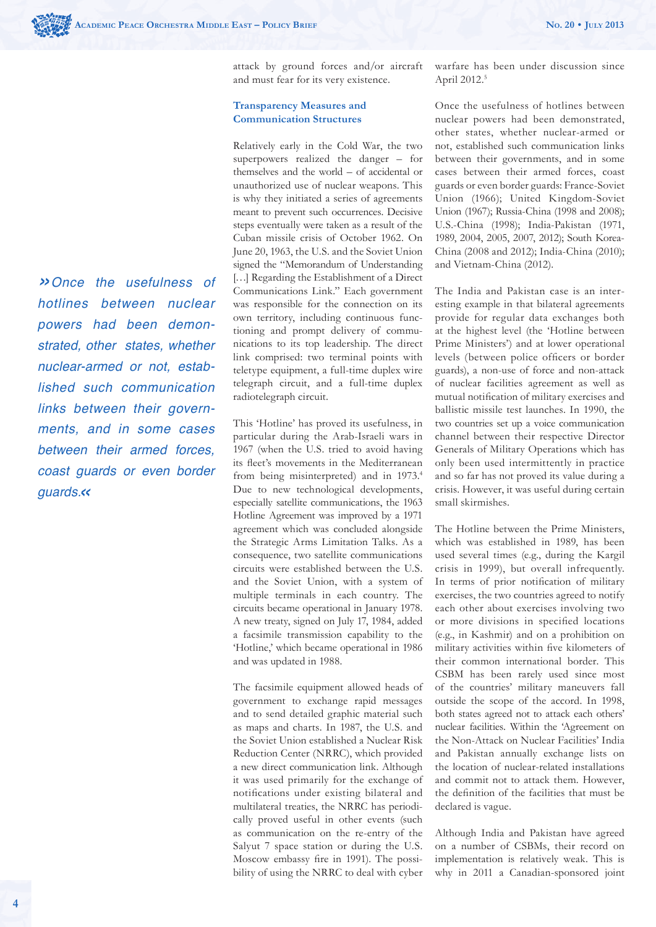*»*Once the usefulness of *hotlines between nuclear*  powers had been demon*strated, other states, whether*  nuclear-armed or not, estab*lished such communication*  links between their govern*ments, and in some cases between their armed forces,*  coast guards or even border guards.*«*

attack by ground forces and/or aircraft and must fear for its very existence.

## **Transparency Measures and Communication Structures**

Relatively early in the Cold War, the two superpowers realized the danger – for themselves and the world – of accidental or unauthorized use of nuclear weapons. This is why they initiated a series of agreements meant to prevent such occurrences. Decisive steps eventually were taken as a result of the Cuban missile crisis of October 1962. On June 20, 1963, the U.S. and the Soviet Union signed the "Memorandum of Understanding [...] Regarding the Establishment of a Direct Communications Link." Each government was responsible for the connection on its own territory, including continuous functioning and prompt delivery of communications to its top leadership. The direct link comprised: two terminal points with teletype equipment, a full-time duplex wire telegraph circuit, and a full-time duplex radiotelegraph circuit.

This 'Hotline' has proved its usefulness, in particular during the Arab-Israeli wars in 1967 (when the U.S. tried to avoid having its fleet's movements in the Mediterranean from being misinterpreted) and in 1973.<sup>4</sup> Due to new technological developments, especially satellite communications, the 1963 Hotline Agreement was improved by a 1971 agreement which was concluded alongside the Strategic Arms Limitation Talks. As a consequence, two satellite communications circuits were established between the U.S. and the Soviet Union, with a system of multiple terminals in each country. The circuits became operational in January 1978. A new treaty, signed on July 17, 1984, added a facsimile transmission capability to the 'Hotline,' which became operational in 1986 and was updated in 1988.

The facsimile equipment allowed heads of government to exchange rapid messages and to send detailed graphic material such as maps and charts. In 1987, the U.S. and the Soviet Union established a Nuclear Risk Reduction Center (NRRC), which provided a new direct communication link. Although it was used primarily for the exchange of notifications under existing bilateral and multilateral treaties, the NRRC has periodically proved useful in other events (such as communication on the re-entry of the Salyut 7 space station or during the U.S. Moscow embassy fire in 1991). The possibility of using the NRRC to deal with cyber warfare has been under discussion since April 2012.<sup>5</sup>

Once the usefulness of hotlines between nuclear powers had been demonstrated, other states, whether nuclear-armed or not, established such communication links between their governments, and in some cases between their armed forces, coast guards or even border guards: France-Soviet Union (1966); United Kingdom-Soviet Union (1967); Russia-China (1998 and 2008); U.S.-China (1998); India-Pakistan (1971, 1989, 2004, 2005, 2007, 2012); South Korea-China (2008 and 2012); India-China (2010); and Vietnam-China (2012).

The India and Pakistan case is an interesting example in that bilateral agreements provide for regular data exchanges both at the highest level (the 'Hotline between Prime Ministers') and at lower operational levels (between police officers or border guards), a non-use of force and non-attack of nuclear facilities agreement as well as mutual notification of military exercises and ballistic missile test launches. In 1990, the two countries set up a voice communication channel between their respective Director Generals of Military Operations which has only been used intermittently in practice and so far has not proved its value during a crisis. However, it was useful during certain small skirmishes.

The Hotline between the Prime Ministers, which was established in 1989, has been used several times (e.g., during the Kargil crisis in 1999), but overall infrequently. In terms of prior notification of military exercises, the two countries agreed to notify each other about exercises involving two or more divisions in specified locations (e.g., in Kashmir) and on a prohibition on military activities within five kilometers of their common international border. This CSBM has been rarely used since most of the countries' military maneuvers fall outside the scope of the accord. In 1998, both states agreed not to attack each others' nuclear facilities. Within the 'Agreement on the Non-Attack on Nuclear Facilities' India and Pakistan annually exchange lists on the location of nuclear-related installations and commit not to attack them. However, the definition of the facilities that must be declared is vague.

Although India and Pakistan have agreed on a number of CSBMs, their record on implementation is relatively weak. This is why in 2011 a Canadian-sponsored joint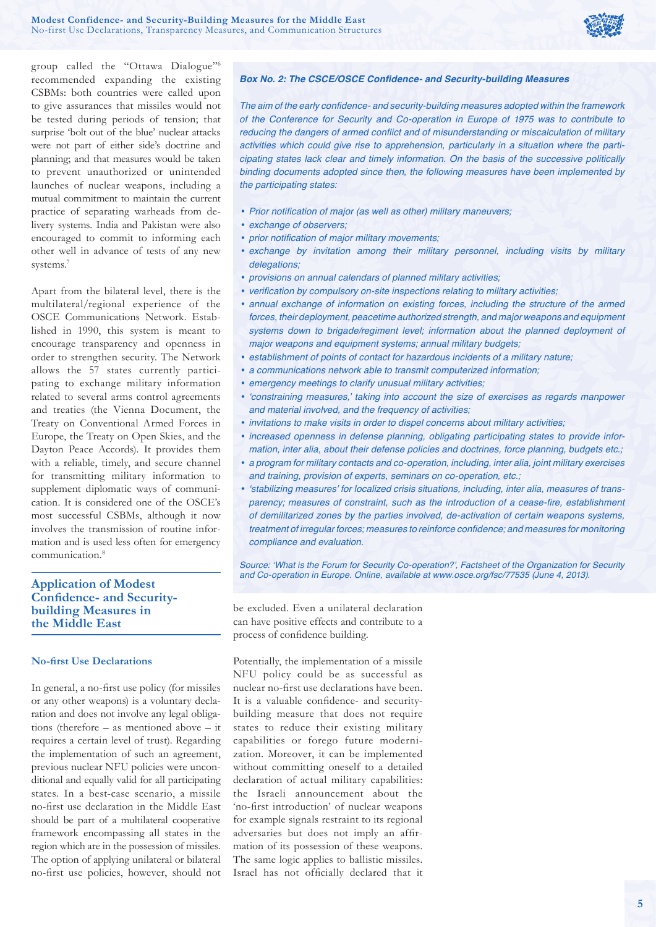

group called the "Ottawa Dialogue"6 recommended expanding the existing CSBMs: both countries were called upon to give assurances that missiles would not be tested during periods of tension; that surprise 'bolt out of the blue' nuclear attacks were not part of either side's doctrine and planning; and that measures would be taken to prevent unauthorized or unintended launches of nuclear weapons, including a mutual commitment to maintain the current practice of separating warheads from delivery systems. India and Pakistan were also encouraged to commit to informing each other well in advance of tests of any new systems.<sup>7</sup>

Apart from the bilateral level, there is the multilateral/regional experience of the OSCE Communications Network. Established in 1990, this system is meant to encourage transparency and openness in order to strengthen security. The Network allows the 57 states currently participating to exchange military information related to several arms control agreements and treaties (the Vienna Document, the Treaty on Conventional Armed Forces in Europe, the Treaty on Open Skies, and the Dayton Peace Accords). It provides them with a reliable, timely, and secure channel for transmitting military information to supplement diplomatic ways of communication. It is considered one of the OSCE's most successful CSBMs, although it now involves the transmission of routine information and is used less often for emergency communication.<sup>8</sup>

# **Application of Modest Confidence- and Securitybuilding Measures in the Middle East**

### **No-first Use Declarations**

In general, a no-first use policy (for missiles or any other weapons) is a voluntary declaration and does not involve any legal obligations (therefore – as mentioned above – it requires a certain level of trust). Regarding the implementation of such an agreement, previous nuclear NFU policies were unconditional and equally valid for all participating states. In a best-case scenario, a missile no-first use declaration in the Middle East should be part of a multilateral cooperative framework encompassing all states in the region which are in the possession of missiles. The option of applying unilateral or bilateral no-first use policies, however, should not

#### **Box No. 2: The CSCE/OSCE Confidence- and Security-building Measures**

The aim of the early confidence- and security-building measures adopted within the framework of the Conference for Security and Co-operation in Europe of 1975 was to contribute to reducing the dangers of armed conflict and of misunderstanding or miscalculation of military activities which could give rise to apprehension, particularly in a situation where the participating states lack clear and timely information. On the basis of the successive politically binding documents adopted since then, the following measures have been implemented by the participating states:

- Prior notification of major (as well as other) military maneuvers;
- exchange of observers:
- prior notification of major military movements:
- exchange by invitation among their military personnel, including visits by military delegations:
- provisions on annual calendars of planned military activities;
- verification by compulsory on-site inspections relating to military activities:
- annual exchange of information on existing forces, including the structure of the armed forces, their deployment, peacetime authorized strength, and major weapons and equipment systems down to brigade/regiment level; information about the planned deployment of major weapons and equipment systems; annual military budgets;
- establishment of points of contact for hazardous incidents of a military nature;
- a communications network able to transmit computerized information;
- emergency meetings to clarify unusual military activities;
- 'constraining measures,' taking into account the size of exercises as regards manpower and material involved, and the frequency of activities;
- invitations to make visits in order to dispel concerns about military activities;
- increased openness in defense planning, obligating participating states to provide information, inter alia, about their defense policies and doctrines, force planning, budgets etc.;
- a program for military contacts and co-operation, including, inter alia, joint military exercises and training, provision of experts, seminars on co-operation, etc.;
- 'stabilizing measures' for localized crisis situations, including, inter alia, measures of transparency; measures of constraint, such as the introduction of a cease-fire, establishment of demilitarized zones by the parties involved, de-activation of certain weapons systems, treatment of irregular forces; measures to reinforce confidence; and measures for monitoring *compliance and evaluation.*

Source: 'What is the Forum for Security Co-operation?', Factsheet of the Organization for Security and Co-operation in Europe. Online, available at www.osce.org/fsc/77535 (June 4, 2013).

be excluded. Even a unilateral declaration can have positive effects and contribute to a process of confidence building.

Potentially, the implementation of a missile NFU policy could be as successful as nuclear no-first use declarations have been. It is a valuable confidence- and securitybuilding measure that does not require states to reduce their existing military capabilities or forego future modernization. Moreover, it can be implemented without committing oneself to a detailed declaration of actual military capabilities: the Israeli announcement about the 'no-first introduction' of nuclear weapons for example signals restraint to its regional adversaries but does not imply an affirmation of its possession of these weapons. The same logic applies to ballistic missiles. Israel has not officially declared that it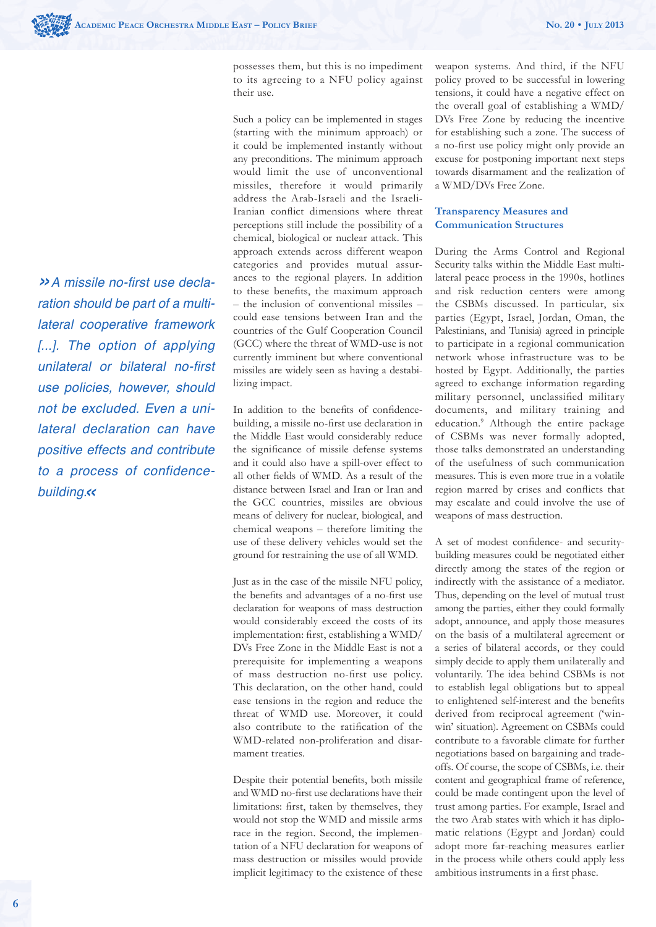»A missile no-first use declaration should be part of a multi*lateral cooperative framework*  [...]. The option of applying unilateral or bilateral no-first *use policies, however, should*  not be excluded. Even a uni*lateral declaration can have positive effects and contribute*  to a process of confidencebuilding.*«*

possesses them, but this is no impediment to its agreeing to a NFU policy against their use.

Such a policy can be implemented in stages (starting with the minimum approach) or it could be implemented instantly without any preconditions. The minimum approach would limit the use of unconventional missiles, therefore it would primarily address the Arab-Israeli and the Israeli-Iranian conflict dimensions where threat perceptions still include the possibility of a chemical, biological or nuclear attack. This approach extends across different weapon categories and provides mutual assurances to the regional players. In addition to these benefits, the maximum approach – the inclusion of conventional missiles – could ease tensions between Iran and the countries of the Gulf Cooperation Council (GCC) where the threat of WMD-use is not currently imminent but where conventional missiles are widely seen as having a destabilizing impact.

In addition to the benefits of confidencebuilding, a missile no-first use declaration in the Middle East would considerably reduce the significance of missile defense systems and it could also have a spill-over effect to all other fields of WMD. As a result of the distance between Israel and Iran or Iran and the GCC countries, missiles are obvious means of delivery for nuclear, biological, and chemical weapons – therefore limiting the use of these delivery vehicles would set the ground for restraining the use of all WMD.

Just as in the case of the missile NFU policy, the benefits and advantages of a no-first use declaration for weapons of mass destruction would considerably exceed the costs of its implementation: first, establishing a WMD/ DVs Free Zone in the Middle East is not a prerequisite for implementing a weapons of mass destruction no-first use policy. This declaration, on the other hand, could ease tensions in the region and reduce the threat of WMD use. Moreover, it could also contribute to the ratification of the WMD-related non-proliferation and disarmament treaties.

Despite their potential benefits, both missile and WMD no-first use declarations have their limitations: first, taken by themselves, they would not stop the WMD and missile arms race in the region. Second, the implementation of a NFU declaration for weapons of mass destruction or missiles would provide implicit legitimacy to the existence of these weapon systems. And third, if the NFU policy proved to be successful in lowering tensions, it could have a negative effect on the overall goal of establishing a WMD/ DVs Free Zone by reducing the incentive for establishing such a zone. The success of a no-first use policy might only provide an excuse for postponing important next steps towards disarmament and the realization of a WMD/DVs Free Zone.

## **Transparency Measures and Communication Structures**

During the Arms Control and Regional Security talks within the Middle East multilateral peace process in the 1990s, hotlines and risk reduction centers were among the CSBMs discussed. In particular, six parties (Egypt, Israel, Jordan, Oman, the Palestinians, and Tunisia) agreed in principle to participate in a regional communication network whose infrastructure was to be hosted by Egypt. Additionally, the parties agreed to exchange information regarding military personnel, unclassified military documents, and military training and education.9 Although the entire package of CSBMs was never formally adopted, those talks demonstrated an understanding of the usefulness of such communication measures. This is even more true in a volatile region marred by crises and conflicts that may escalate and could involve the use of weapons of mass destruction.

A set of modest confidence- and securitybuilding measures could be negotiated either directly among the states of the region or indirectly with the assistance of a mediator. Thus, depending on the level of mutual trust among the parties, either they could formally adopt, announce, and apply those measures on the basis of a multilateral agreement or a series of bilateral accords, or they could simply decide to apply them unilaterally and voluntarily. The idea behind CSBMs is not to establish legal obligations but to appeal to enlightened self-interest and the benefits derived from reciprocal agreement ('winwin' situation). Agreement on CSBMs could contribute to a favorable climate for further negotiations based on bargaining and tradeoffs. Of course, the scope of CSBMs, i.e. their content and geographical frame of reference, could be made contingent upon the level of trust among parties. For example, Israel and the two Arab states with which it has diplomatic relations (Egypt and Jordan) could adopt more far-reaching measures earlier in the process while others could apply less ambitious instruments in a first phase.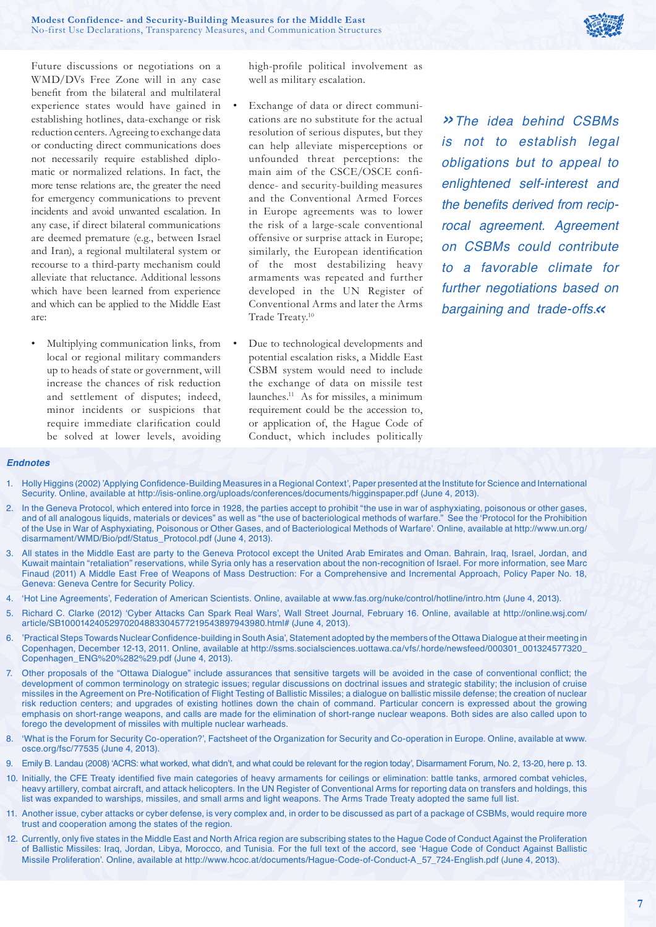

Future discussions or negotiations on a WMD/DVs Free Zone will in any case benefit from the bilateral and multilateral experience states would have gained in establishing hotlines, data-exchange or risk reduction centers. Agreeing to exchange data or conducting direct communications does not necessarily require established diplomatic or normalized relations. In fact, the more tense relations are, the greater the need for emergency communications to prevent incidents and avoid unwanted escalation. In any case, if direct bilateral communications are deemed premature (e.g., between Israel and Iran), a regional multilateral system or recourse to a third-party mechanism could alleviate that reluctance. Additional lessons which have been learned from experience and which can be applied to the Middle East are:

• Multiplying communication links, from local or regional military commanders up to heads of state or government, will increase the chances of risk reduction and settlement of disputes; indeed, minor incidents or suspicions that require immediate clarification could be solved at lower levels, avoiding

high-profile political involvement as well as military escalation.

- Exchange of data or direct communications are no substitute for the actual resolution of serious disputes, but they can help alleviate misperceptions or unfounded threat perceptions: the main aim of the CSCE/OSCE confidence- and security-building measures and the Conventional Armed Forces in Europe agreements was to lower the risk of a large-scale conventional offensive or surprise attack in Europe; similarly, the European identification of the most destabilizing heavy armaments was repeated and further developed in the UN Register of Conventional Arms and later the Arms Trade Treaty.<sup>10</sup>
- Due to technological developments and potential escalation risks, a Middle East CSBM system would need to include the exchange of data on missile test launches.11 As for missiles, a minimum requirement could be the accession to, or application of, the Hague Code of Conduct, which includes politically

*»The idea behind CSBMs*  is not to establish legal obligations but to appeal to enlightened self-interest and the benefits derived from reciprocal agreement. Agreement *on CSBMs could contribute to a favorable climate for*  further negotiations based on bargaining and trade-offs.*«*

#### *Endnotes*

- 1. Holly Higgins (2002) 'Applying Confidence-Building Measures in a Regional Context', Paper presented at the Institute for Science and International Security. Online, available at http://isis-online.org/uploads/conferences/documents/higginspaper.pdf (June 4, 2013).
- 2. In the Geneva Protocol, which entered into force in 1928, the parties accept to prohibit "the use in war of asphyxiating, poisonous or other gases, and of all analogous liquids, materials or devices" as well as "the use of bacteriological methods of warfare." See the 'Protocol for the Prohibition of the Use in War of Asphyxiating, Poisonous or Other Gases, and of Bacteriological Methods of Warfare'. Online, available at http://www.un.org/ disarmament/WMD/Bio/pdf/Status\_Protocol.pdf (June 4, 2013).
- 3. All states in the Middle East are party to the Geneva Protocol except the United Arab Emirates and Oman. Bahrain, Iraq, Israel, Jordan, and Kuwait maintain "retaliation" reservations, while Syria only has a reservation about the non-recognition of Israel. For more information, see Marc Finaud (2011) A Middle East Free of Weapons of Mass Destruction: For a Comprehensive and Incremental Approach, Policy Paper No. 18, Geneva: Geneva Centre for Security Policy.
- 4. 'Hot Line Agreements', Federation of American Scientists. Online, available at www.fas.org/nuke/control/hotline/intro.htm (June 4, 2013).
- 5. Richard C. Clarke (2012) 'Cyber Attacks Can Spark Real Wars', Wall Street Journal, February 16. Online, available at http://online.wsj.com/ article/SB10001424052970204883304577219543897943980.html# (June 4, 2013).
- 6. 'Practical Steps Towards Nuclear Confidence-building in South Asia', Statement adopted by the members of the Ottawa Dialogue at their meeting in Copenhagen, December 12-13, 2011. Online, available at http://ssms.socialsciences.uottawa.ca/vfs/.horde/newsfeed/000301\_001324577320\_ Copenhagen\_ENG%20%282%29.pdf (June 4, 2013).
- 7. Other proposals of the "Ottawa Dialogue" include assurances that sensitive targets will be avoided in the case of conventional conflict; the development of common terminology on strategic issues; regular discussions on doctrinal issues and strategic stability; the inclusion of cruise missiles in the Agreement on Pre-Notification of Flight Testing of Ballistic Missiles; a dialogue on ballistic missile defense; the creation of nuclear risk reduction centers; and upgrades of existing hotlines down the chain of command. Particular concern is expressed about the growing emphasis on short-range weapons, and calls are made for the elimination of short-range nuclear weapons. Both sides are also called upon to forego the development of missiles with multiple nuclear warheads.
- 8. 'What is the Forum for Security Co-operation?', Factsheet of the Organization for Security and Co-operation in Europe. Online, available at www. osce.org/fsc/77535 (June 4, 2013).
- 9. Emily B. Landau (2008) 'ACRS: what worked, what didn't, and what could be relevant for the region today', Disarmament Forum, No. 2, 13-20, here p. 13.
- 10. Initially, the CFE Treaty identified five main categories of heavy armaments for ceilings or elimination: battle tanks, armored combat vehicles, heavy artillery, combat aircraft, and attack helicopters. In the UN Register of Conventional Arms for reporting data on transfers and holdings, this list was expanded to warships, missiles, and small arms and light weapons. The Arms Trade Treaty adopted the same full list.
- 11. Another issue, cyber attacks or cyber defense, is very complex and, in order to be discussed as part of a package of CSBMs, would require more trust and cooperation among the states of the region.
- 12. Currently, only five states in the Middle East and North Africa region are subscribing states to the Hague Code of Conduct Against the Proliferation of Ballistic Missiles: Iraq, Jordan, Libya, Morocco, and Tunisia. For the full text of the accord, see 'Hague Code of Conduct Against Ballistic Missile Proliferation'. Online, available at http://www.hcoc.at/documents/Hague-Code-of-Conduct-A\_57\_724-English.pdf (June 4, 2013).